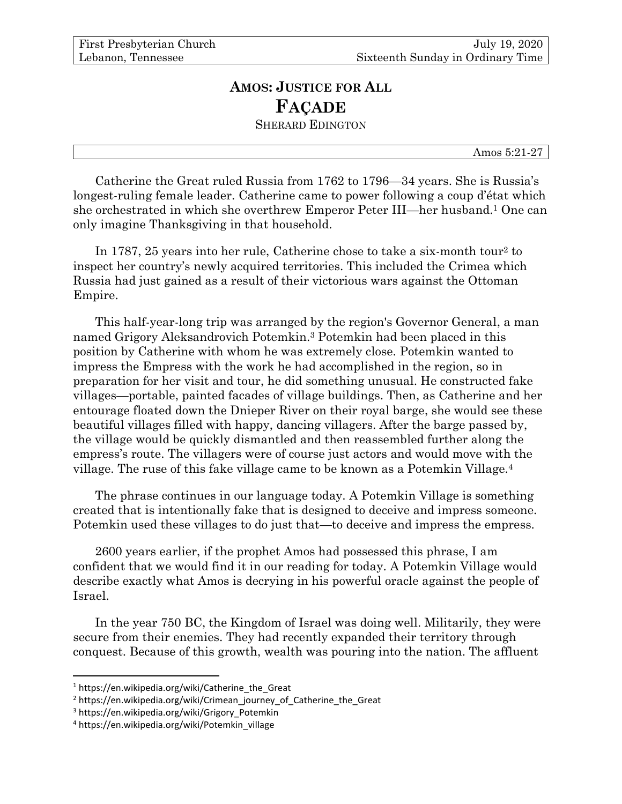## **AMOS: JUSTICE FOR ALL FAÇADE** SHERARD EDINGTON

Amos 5:21-27

Catherine the Great ruled Russia from 1762 to 1796—34 years. She is Russia's longest-ruling female leader. Catherine came to power following a coup d'état which she orchestrated in which she overthrew Emperor Peter III—her husband. <sup>1</sup> One can only imagine Thanksgiving in that household.

In 1787, 25 years into her rule, Catherine chose to take a six-month tour<sup>2</sup> to inspect her country's newly acquired territories. This included the Crimea which Russia had just gained as a result of their victorious wars against the Ottoman Empire.

This half-year-long trip was arranged by the region's Governor General, a man named Grigory Aleksandrovich Potemkin. <sup>3</sup> Potemkin had been placed in this position by Catherine with whom he was extremely close. Potemkin wanted to impress the Empress with the work he had accomplished in the region, so in preparation for her visit and tour, he did something unusual. He constructed fake villages—portable, painted facades of village buildings. Then, as Catherine and her entourage floated down the Dnieper River on their royal barge, she would see these beautiful villages filled with happy, dancing villagers. After the barge passed by, the village would be quickly dismantled and then reassembled further along the empress's route. The villagers were of course just actors and would move with the village. The ruse of this fake village came to be known as a Potemkin Village.<sup>4</sup>

The phrase continues in our language today. A Potemkin Village is something created that is intentionally fake that is designed to deceive and impress someone. Potemkin used these villages to do just that—to deceive and impress the empress.

2600 years earlier, if the prophet Amos had possessed this phrase, I am confident that we would find it in our reading for today. A Potemkin Village would describe exactly what Amos is decrying in his powerful oracle against the people of Israel.

In the year 750 BC, the Kingdom of Israel was doing well. Militarily, they were secure from their enemies. They had recently expanded their territory through conquest. Because of this growth, wealth was pouring into the nation. The affluent

 $1$  https://en.wikipedia.org/wiki/Catherine the Great

<sup>&</sup>lt;sup>2</sup> https://en.wikipedia.org/wiki/Crimean\_journey\_of\_Catherine\_the\_Great

<sup>&</sup>lt;sup>3</sup> https://en.wikipedia.org/wiki/Grigory\_Potemkin

<sup>4</sup> https://en.wikipedia.org/wiki/Potemkin\_village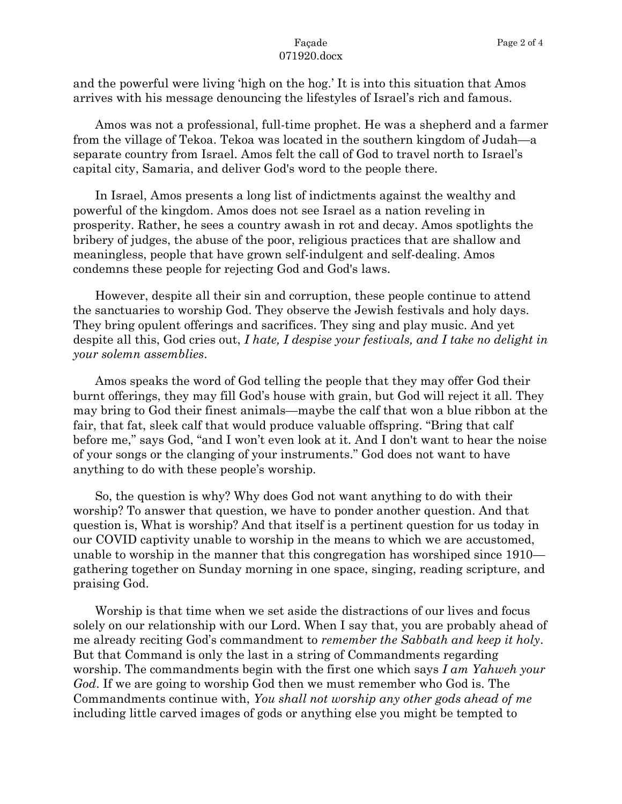## Façade 071920.docx

and the powerful were living 'high on the hog.' It is into this situation that Amos arrives with his message denouncing the lifestyles of Israel's rich and famous.

Amos was not a professional, full-time prophet. He was a shepherd and a farmer from the village of Tekoa. Tekoa was located in the southern kingdom of Judah—a separate country from Israel. Amos felt the call of God to travel north to Israel's capital city, Samaria, and deliver God's word to the people there.

In Israel, Amos presents a long list of indictments against the wealthy and powerful of the kingdom. Amos does not see Israel as a nation reveling in prosperity. Rather, he sees a country awash in rot and decay. Amos spotlights the bribery of judges, the abuse of the poor, religious practices that are shallow and meaningless, people that have grown self-indulgent and self-dealing. Amos condemns these people for rejecting God and God's laws.

However, despite all their sin and corruption, these people continue to attend the sanctuaries to worship God. They observe the Jewish festivals and holy days. They bring opulent offerings and sacrifices. They sing and play music. And yet despite all this, God cries out, *I hate, I despise your festivals, and I take no delight in your solemn assemblies*.

Amos speaks the word of God telling the people that they may offer God their burnt offerings, they may fill God's house with grain, but God will reject it all. They may bring to God their finest animals—maybe the calf that won a blue ribbon at the fair, that fat, sleek calf that would produce valuable offspring. "Bring that calf before me," says God, "and I won't even look at it. And I don't want to hear the noise of your songs or the clanging of your instruments." God does not want to have anything to do with these people's worship.

So, the question is why? Why does God not want anything to do with their worship? To answer that question, we have to ponder another question. And that question is, What is worship? And that itself is a pertinent question for us today in our COVID captivity unable to worship in the means to which we are accustomed, unable to worship in the manner that this congregation has worshiped since 1910 gathering together on Sunday morning in one space, singing, reading scripture, and praising God.

Worship is that time when we set aside the distractions of our lives and focus solely on our relationship with our Lord. When I say that, you are probably ahead of me already reciting God's commandment to *remember the Sabbath and keep it holy*. But that Command is only the last in a string of Commandments regarding worship. The commandments begin with the first one which says *I am Yahweh your God*. If we are going to worship God then we must remember who God is. The Commandments continue with, *You shall not worship any other gods ahead of me* including little carved images of gods or anything else you might be tempted to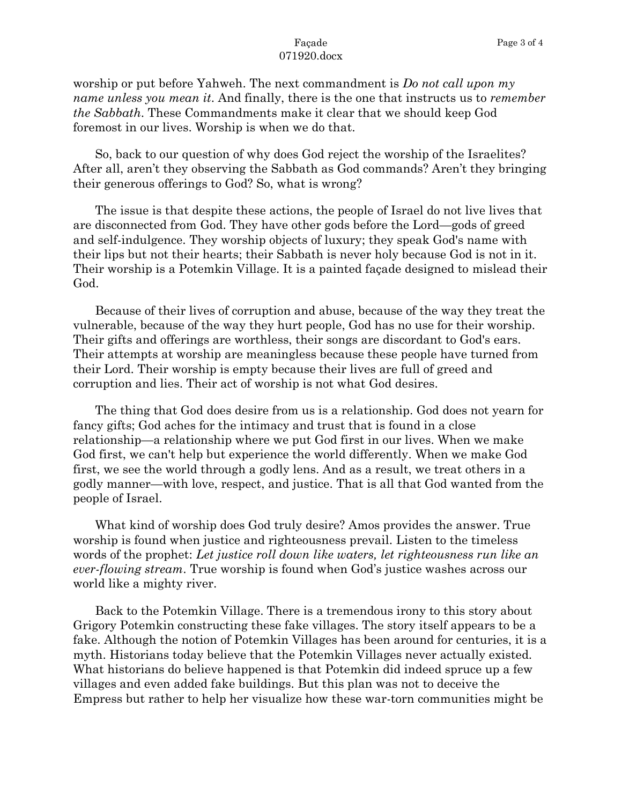## Façade 071920.docx

worship or put before Yahweh. The next commandment is *Do not call upon my name unless you mean it*. And finally, there is the one that instructs us to *remember the Sabbath*. These Commandments make it clear that we should keep God foremost in our lives. Worship is when we do that.

So, back to our question of why does God reject the worship of the Israelites? After all, aren't they observing the Sabbath as God commands? Aren't they bringing their generous offerings to God? So, what is wrong?

The issue is that despite these actions, the people of Israel do not live lives that are disconnected from God. They have other gods before the Lord—gods of greed and self-indulgence. They worship objects of luxury; they speak God's name with their lips but not their hearts; their Sabbath is never holy because God is not in it. Their worship is a Potemkin Village. It is a painted façade designed to mislead their God.

Because of their lives of corruption and abuse, because of the way they treat the vulnerable, because of the way they hurt people, God has no use for their worship. Their gifts and offerings are worthless, their songs are discordant to God's ears. Their attempts at worship are meaningless because these people have turned from their Lord. Their worship is empty because their lives are full of greed and corruption and lies. Their act of worship is not what God desires.

The thing that God does desire from us is a relationship. God does not yearn for fancy gifts; God aches for the intimacy and trust that is found in a close relationship—a relationship where we put God first in our lives. When we make God first, we can't help but experience the world differently. When we make God first, we see the world through a godly lens. And as a result, we treat others in a godly manner—with love, respect, and justice. That is all that God wanted from the people of Israel.

What kind of worship does God truly desire? Amos provides the answer. True worship is found when justice and righteousness prevail. Listen to the timeless words of the prophet: *Let justice roll down like waters, let righteousness run like an ever-flowing stream*. True worship is found when God's justice washes across our world like a mighty river.

Back to the Potemkin Village. There is a tremendous irony to this story about Grigory Potemkin constructing these fake villages. The story itself appears to be a fake. Although the notion of Potemkin Villages has been around for centuries, it is a myth. Historians today believe that the Potemkin Villages never actually existed. What historians do believe happened is that Potemkin did indeed spruce up a few villages and even added fake buildings. But this plan was not to deceive the Empress but rather to help her visualize how these war-torn communities might be